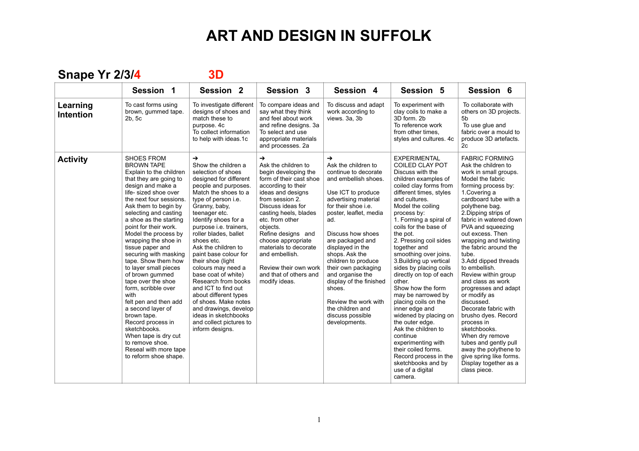**Snape Yr 2/3/4 3D**

|                              | Session 1                                                                                                                                                                                                                                                                                                                                                                                                                                                                                                                                                                                                                                                                                   | Session <sub>2</sub>                                                                                                                                                                                                                                                                                                                                                                                                                                                                                                                                                                                   | Session 3                                                                                                                                                                                                                                                                                                                                                                         | Session 4                                                                                                                                                                                                                                                                                                                                                                                                                                                         | Session 5                                                                                                                                                                                                                                                                                                                                                                                                                                                                                                                                                                                                                                                                                                                      | Session 6                                                                                                                                                                                                                                                                                                                                                                                                                                                                                                                                                                                                                                                                                           |
|------------------------------|---------------------------------------------------------------------------------------------------------------------------------------------------------------------------------------------------------------------------------------------------------------------------------------------------------------------------------------------------------------------------------------------------------------------------------------------------------------------------------------------------------------------------------------------------------------------------------------------------------------------------------------------------------------------------------------------|--------------------------------------------------------------------------------------------------------------------------------------------------------------------------------------------------------------------------------------------------------------------------------------------------------------------------------------------------------------------------------------------------------------------------------------------------------------------------------------------------------------------------------------------------------------------------------------------------------|-----------------------------------------------------------------------------------------------------------------------------------------------------------------------------------------------------------------------------------------------------------------------------------------------------------------------------------------------------------------------------------|-------------------------------------------------------------------------------------------------------------------------------------------------------------------------------------------------------------------------------------------------------------------------------------------------------------------------------------------------------------------------------------------------------------------------------------------------------------------|--------------------------------------------------------------------------------------------------------------------------------------------------------------------------------------------------------------------------------------------------------------------------------------------------------------------------------------------------------------------------------------------------------------------------------------------------------------------------------------------------------------------------------------------------------------------------------------------------------------------------------------------------------------------------------------------------------------------------------|-----------------------------------------------------------------------------------------------------------------------------------------------------------------------------------------------------------------------------------------------------------------------------------------------------------------------------------------------------------------------------------------------------------------------------------------------------------------------------------------------------------------------------------------------------------------------------------------------------------------------------------------------------------------------------------------------------|
| Learning<br><b>Intention</b> | To cast forms using<br>brown, gummed tape.<br>2b, 5c                                                                                                                                                                                                                                                                                                                                                                                                                                                                                                                                                                                                                                        | To investigate different<br>designs of shoes and<br>match these to<br>purpose. 4c<br>To collect information<br>to help with ideas.1c                                                                                                                                                                                                                                                                                                                                                                                                                                                                   | To compare ideas and<br>say what they think<br>and feel about work<br>and refine designs. 3a<br>To select and use<br>appropriate materials<br>and processes. 2a                                                                                                                                                                                                                   | To discuss and adapt<br>work according to<br>views. 3a, 3b                                                                                                                                                                                                                                                                                                                                                                                                        | To experiment with<br>clay coils to make a<br>3D form. 2b<br>To reference work<br>from other times.<br>styles and cultures. 4c                                                                                                                                                                                                                                                                                                                                                                                                                                                                                                                                                                                                 | To collaborate with<br>others on 3D projects.<br>5 <sub>b</sub><br>To use glue and<br>fabric over a mould to<br>produce 3D artefacts.<br>2c                                                                                                                                                                                                                                                                                                                                                                                                                                                                                                                                                         |
| <b>Activity</b>              | <b>SHOES FROM</b><br><b>BROWN TAPE</b><br>Explain to the children<br>that they are going to<br>design and make a<br>life-sized shoe over<br>the next four sessions.<br>Ask them to begin by<br>selecting and casting<br>a shoe as the starting<br>point for their work.<br>Model the process by<br>wrapping the shoe in<br>tissue paper and<br>securing with masking<br>tape. Show them how<br>to layer small pieces<br>of brown gummed<br>tape over the shoe<br>form, scribble over<br>with<br>felt pen and then add<br>a second layer of<br>brown tape.<br>Record process in<br>sketchbooks.<br>When tape is dry cut<br>to remove shoe.<br>Reseal with more tape<br>to reform shoe shape. | $\rightarrow$<br>Show the children a<br>selection of shoes<br>designed for different<br>people and purposes.<br>Match the shoes to a<br>type of person i.e.<br>Granny, baby,<br>teenager etc.<br>Identify shoes for a<br>purpose i.e. trainers,<br>roller blades, ballet<br>shoes etc.<br>Ask the children to<br>paint base colour for<br>their shoe (light<br>colours may need a<br>base coat of white)<br>Research from books<br>and ICT to find out<br>about different types<br>of shoes. Make notes<br>and drawings, develop<br>ideas in sketchbooks<br>and collect pictures to<br>inform designs. | →<br>Ask the children to<br>begin developing the<br>form of their cast shoe<br>according to their<br>ideas and designs<br>from session 2.<br>Discuss ideas for<br>casting heels, blades<br>etc. from other<br>objects.<br>Refine designs and<br>choose appropriate<br>materials to decorate<br>and embellish.<br>Review their own work<br>and that of others and<br>modify ideas. | $\rightarrow$<br>Ask the children to<br>continue to decorate<br>and embellish shoes.<br>Use ICT to produce<br>advertising material<br>for their shoe i.e.<br>poster, leaflet, media<br>ad.<br>Discuss how shoes<br>are packaged and<br>displayed in the<br>shops. Ask the<br>children to produce<br>their own packaging<br>and organise the<br>display of the finished<br>shoes.<br>Review the work with<br>the children and<br>discuss possible<br>developments. | <b>EXPERIMENTAL</b><br><b>COILED CLAY POT</b><br>Discuss with the<br>children examples of<br>coiled clay forms from<br>different times, styles<br>and cultures.<br>Model the coiling<br>process by:<br>1. Forming a spiral of<br>coils for the base of<br>the pot.<br>2. Pressing coil sides<br>together and<br>smoothing over joins.<br>3. Building up vertical<br>sides by placing coils<br>directly on top of each<br>other.<br>Show how the form<br>may be narrowed by<br>placing coils on the<br>inner edge and<br>widened by placing on<br>the outer edge.<br>Ask the children to<br>continue<br>experimenting with<br>their coiled forms.<br>Record process in the<br>sketchbooks and by<br>use of a digital<br>camera. | <b>FABRIC FORMING</b><br>Ask the children to<br>work in small groups.<br>Model the fabric<br>forming process by:<br>1. Covering a<br>cardboard tube with a<br>polythene bag.<br>2. Dipping strips of<br>fabric in watered down<br>PVA and squeezing<br>out excess. Then<br>wrapping and twisting<br>the fabric around the<br>tube.<br>3.Add dipped threads<br>to embellish.<br>Review within group<br>and class as work<br>progresses and adapt<br>or modify as<br>discussed.<br>Decorate fabric with<br>brusho dyes. Record<br>process in<br>sketchbooks.<br>When dry remove<br>tubes and gently pull<br>away the polythene to<br>give spring like forms.<br>Display together as a<br>class piece. |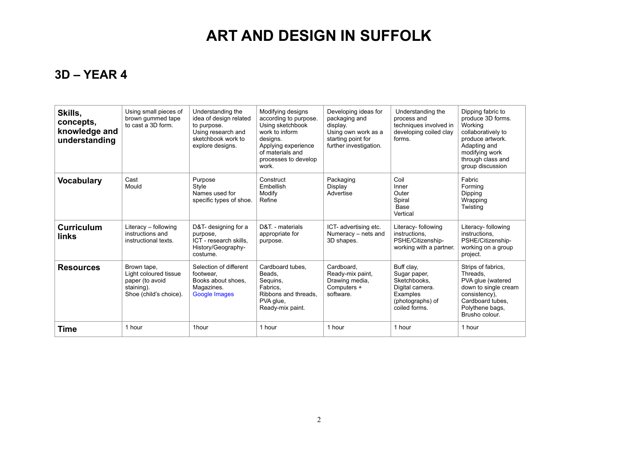#### **3D – YEAR 4**

| Skills,<br>concepts,<br>knowledge and<br>understanding | Using small pieces of<br>brown gummed tape<br>to cast a 3D form.                                | Understanding the<br>idea of design related<br>to purpose.<br>Using research and<br>sketchbook work to<br>explore designs. | Modifying designs<br>according to purpose.<br>Using sketchbook<br>work to inform<br>designs.<br>Applying experience<br>of materials and<br>processes to develop<br>work. | Developing ideas for<br>packaging and<br>display.<br>Using own work as a<br>starting point for<br>further investigation. | Understanding the<br>process and<br>techniques involved in<br>developing coiled clay<br>forms.                 | Dipping fabric to<br>produce 3D forms.<br>Working<br>collaboratively to<br>produce artwork.<br>Adapting and<br>modifying work<br>through class and<br>group discussion |
|--------------------------------------------------------|-------------------------------------------------------------------------------------------------|----------------------------------------------------------------------------------------------------------------------------|--------------------------------------------------------------------------------------------------------------------------------------------------------------------------|--------------------------------------------------------------------------------------------------------------------------|----------------------------------------------------------------------------------------------------------------|------------------------------------------------------------------------------------------------------------------------------------------------------------------------|
| <b>Vocabulary</b>                                      | Cast<br>Mould                                                                                   | Purpose<br>Style<br>Names used for<br>specific types of shoe.                                                              | Construct<br>Embellish<br>Modify<br>Refine                                                                                                                               | Packaging<br>Display<br>Advertise                                                                                        | Coil<br>Inner<br>Outer<br>Spiral<br>Base<br>Vertical                                                           | Fabric<br>Forming<br>Dipping<br>Wrapping<br>Twisting                                                                                                                   |
| <b>Curriculum</b><br><b>links</b>                      | Literacy - following<br>instructions and<br>instructional texts.                                | D&T- designing for a<br>purpose,<br>ICT - research skills,<br>History/Geography-<br>costume.                               | D&T. - materials<br>appropriate for<br>purpose.                                                                                                                          | ICT- advertising etc.<br>Numeracy - nets and<br>3D shapes.                                                               | Literacy- following<br>instructions.<br>PSHE/Citizenship-<br>working with a partner.                           | Literacy- following<br>instructions.<br>PSHE/Citizenship-<br>working on a group<br>project.                                                                            |
| <b>Resources</b>                                       | Brown tape,<br>Light coloured tissue<br>paper (to avoid<br>staining).<br>Shoe (child's choice). | Selection of different<br>footwear.<br>Books about shoes.<br>Magazines.<br>Google Images                                   | Cardboard tubes.<br>Beads.<br>Sequins,<br>Fabrics.<br>Ribbons and threads.<br>PVA glue,<br>Ready-mix paint.                                                              | Cardboard.<br>Ready-mix paint.<br>Drawing media,<br>Computers +<br>software.                                             | Buff clay,<br>Sugar paper,<br>Sketchbooks,<br>Digital camera.<br>Examples<br>(photographs) of<br>coiled forms. | Strips of fabrics,<br>Threads,<br>PVA glue (watered<br>down to single cream<br>consistency).<br>Cardboard tubes.<br>Polythene bags,<br>Brusho colour.                  |
| Time                                                   | 1 hour                                                                                          | 1hour                                                                                                                      | 1 hour                                                                                                                                                                   | 1 hour                                                                                                                   | 1 hour                                                                                                         | 1 hour                                                                                                                                                                 |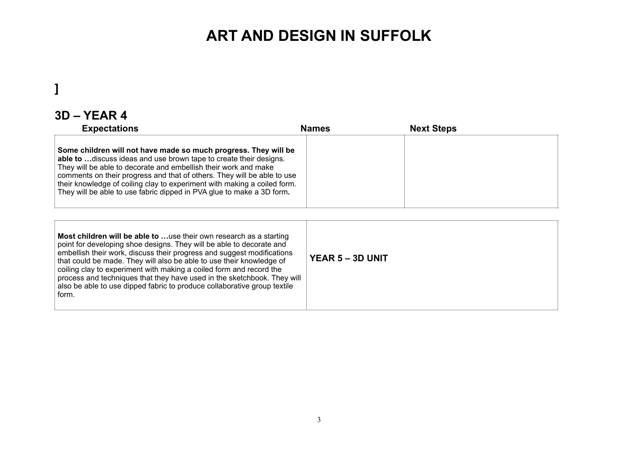#### **]**

#### **3D – YEAR 4**

| <b>Expectations</b>                                                                                                                                                                                                                                                                                                                                                                                                                      | <b>Names</b> | <b>Next Steps</b> |
|------------------------------------------------------------------------------------------------------------------------------------------------------------------------------------------------------------------------------------------------------------------------------------------------------------------------------------------------------------------------------------------------------------------------------------------|--------------|-------------------|
| Some children will not have made so much progress. They will be<br>able to  discuss ideas and use brown tape to create their designs.<br>They will be able to decorate and embellish their work and make<br>comments on their progress and that of others. They will be able to use<br>their knowledge of coiling clay to experiment with making a coiled form.<br>They will be able to use fabric dipped in PVA glue to make a 3D form. |              |                   |

| <b>Most children will be able to use their own research as a starting</b><br>point for developing shoe designs. They will be able to decorate and<br>embellish their work, discuss their progress and suggest modifications<br>that could be made. They will also be able to use their knowledge of<br>coiling clay to experiment with making a coiled form and record the<br>process and techniques that they have used in the sketchbook. They will<br>also be able to use dipped fabric to produce collaborative group textile<br>form. | <b>YEAR 5 – 3D UNIT</b> |
|--------------------------------------------------------------------------------------------------------------------------------------------------------------------------------------------------------------------------------------------------------------------------------------------------------------------------------------------------------------------------------------------------------------------------------------------------------------------------------------------------------------------------------------------|-------------------------|